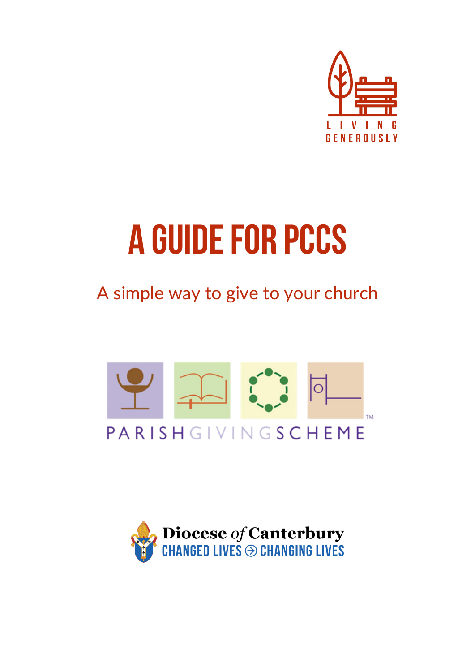

# **a guidefor Pccs**

A simple way to give to your church



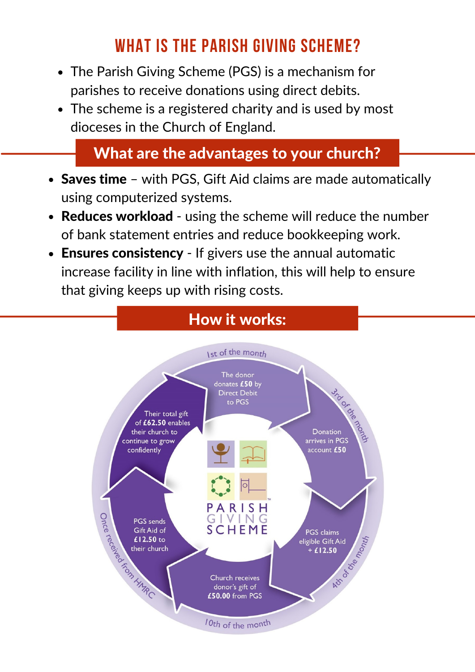# **WHAT IS THE PARISH GIVING SCHEME?**

- The Parish Giving Scheme (PGS) is a mechanism for parishes to receive donations using direct debits.
- The scheme is a registered charity and is used by most dioceses in the Church of England.

### What are the advantages to your church?

- Saves time with PGS, Gift Aid claims are made automatically using computerized systems.
- Reduces workload using the scheme will reduce the number of bank statement entries and reduce bookkeeping work.
- Ensures consistency If givers use the annual automatic increase facility in line with inflation, this will help to ensure that giving keeps up with rising costs.

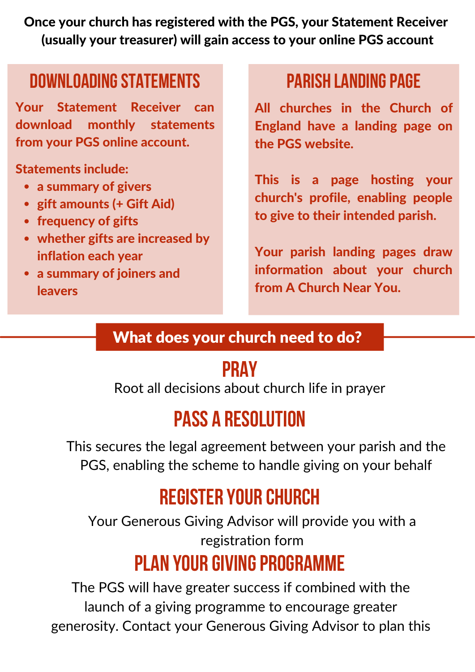Once your church has registered with the PGS, your Statement Receiver (usually your treasurer) will gain access to your online PGS account

# **Downloadingstatements parish landingpage**

Your Statement Receiver can download monthly statements from your PGS online account.

Statements include:

- a summary of givers
- gift amounts (+ Gift Aid)
- frequency of gifts
- whether gifts are increased by inflation each year
- a summary of joiners and leavers

All churches in the Church of England have a landing page on the PGS website.

This is a page hosting your church's profile, enabling people to give to their intended parish.

Your parish landing pages draw information about your church from A Church Near You.

### What does your church need to do?

# **pray**

 $\frac{1}{2}$  decisions about church inc Root all decisions about church life in prayer

# **pass a resolution**

This secures the legal agreement between your parish and the PGS, enabling the scheme to handle giving on your behalf

# **register your church**

Your Generous Giving Advisor will provide you with a registration form

# **PLAN YOUR GIVING PROGRAMME**

The PGS will have greater success if combined with the launch of a giving programme to encourage greater generosity. Contact your Generous Giving Advisor to plan this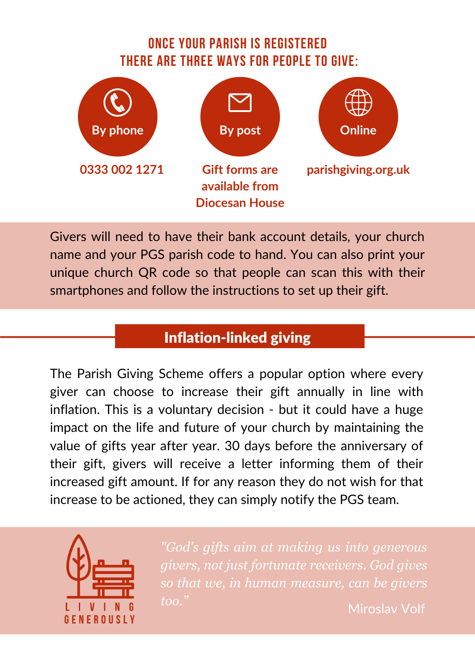#### **ONCE YOUR PARISH IS REGISTERED THERE ARE THREE WAYS FOR PEOPLE TO GIVE:**



Givers will need to have their bank account details, your church name and your PGS parish code to hand. You can also print your unique church QR code so that people can scan this with their smartphones and follow the instructions to set up their gift.

### Inflation-linked giving

The Parish Giving Scheme offers a popular option where every giver can choose to increase their gift annually in line with inflation. This is a voluntary decision - but it could have a huge impact on the life and future of your church by maintaining the value of gifts year after year. 30 days before the anniversary of their gift, givers will receive a letter informing them of their increased gift amount. If for any reason they do not wish for that increase to be actioned, they can simply notify the PGS team.



*"God's gifts aim at making us into generous givers, not just fortunate receivers. God gives so that we, in human measure, can be givers too."* Miroslav Volf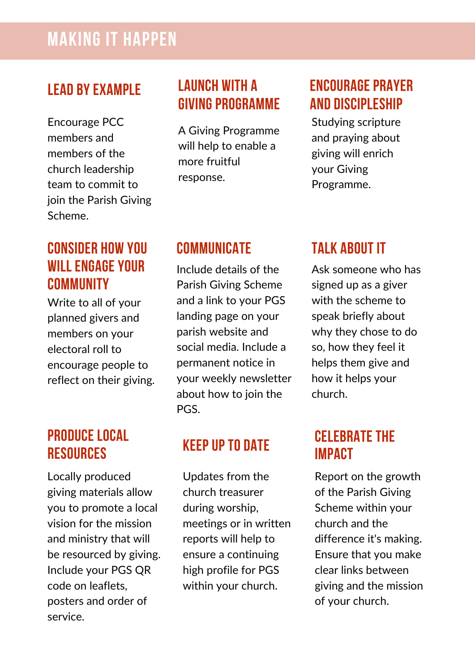## **MAKING IT HAPPEN**

#### **Lead byexample**

Encourage PCC members and members of the church leadership team to commit to join the Parish Giving Scheme.

#### **launch with a GIVING PROGRAMME**

A Giving Programme will help to enable a more fruitful response.

#### **ENCOURAGE PRAYER AND DISCIPLESHIP**

Studying scripture and praying about giving will enrich your Giving Programme.

#### **CONSIDER HOW YOU WILL ENGAGEYOUR COMMUNITY**

Write to all of your planned givers and members on your electoral roll to encourage people to reflect on their giving.

#### **PRODUCE LOCAL RESOURCES**

Locally produced giving materials allow you to promote a local vision for the mission and ministry that will be resourced by giving. Include your PGS QR code on leaflets, posters and order of service.

#### **COMMUNICATE TALK ABOUT IT**

Include details of the Parish Giving Scheme and a link to your PGS landing page on your parish website and social media. Include a permanent notice in your weekly newsletter about how to join the PGS.

#### **KEEPUP TO DATE**

Updates from the church treasurer during worship, meetings or in written reports will help to ensure a continuing high profile for PGS within your church.

Ask someone who has signed up as a giver with the scheme to speak briefly about why they chose to do so, how they feel it helps them give and how it helps your church.

#### **CELEBRATE THE IMPACT**

Report on the growth of the Parish Giving Scheme within your church and the difference it's making. Ensure that you make clear links between giving and the mission of your church.